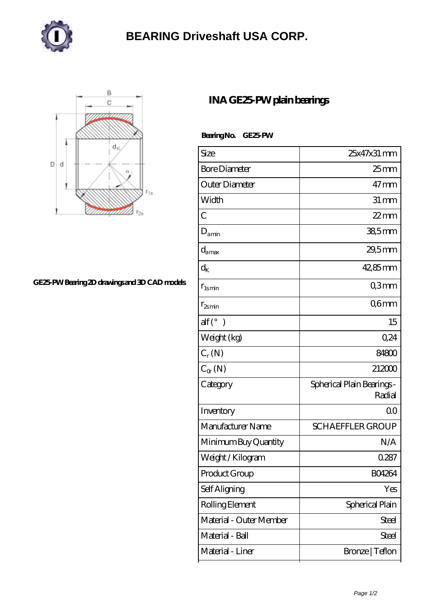

## **[BEARING Driveshaft USA CORP.](https://henschel-at.com)**



## **[GE25-PW Bearing 2D drawings and 3D CAD models](https://henschel-at.com/pic-354174.html)**

## **[INA GE25-PW plain bearings](https://henschel-at.com/ina-ge25-pw-bearing/)**

 **Bearing No. GE25-PW**

| Size                     | 25x47x31 mm                          |
|--------------------------|--------------------------------------|
| <b>Bore Diameter</b>     | $25$ mm                              |
| Outer Diameter           | $47$ mm                              |
| Width                    | $31 \,\mathrm{mm}$                   |
| $\overline{C}$           | $22$ mm                              |
| $D_{\text{amin}}$        | $385$ mm                             |
| $d_{\text{amax}}$        | $29,5$ mm                            |
| $\rm{d}_K$               | $42,85$ mm                           |
| $r_{lsmin}$              | Q3mm                                 |
| $r_{2smin}$              | Q6mm                                 |
| $\text{alf}({}^{\circ})$ | 15                                   |
| Weight (kg)              | 0,24                                 |
| $C_r(N)$                 | 84800                                |
| $C_{\alpha}(\mathbb{N})$ | 212000                               |
| Category                 | Spherical Plain Bearings -<br>Radial |
| Inventory                | QO                                   |
| Manufacturer Name        | <b>SCHAEFFLER GROUP</b>              |
| Minimum Buy Quantity     | N/A                                  |
| Weight / Kilogram        | 0.287                                |
| Product Group            | <b>BO4264</b>                        |
| Self Aligning            | Yes                                  |
| Rolling Element          | Spherical Plain                      |
| Material - Outer Member  | <b>Steel</b>                         |
| Material - Ball          | Steel                                |
| Material - Liner         | Bronze   Teflon                      |